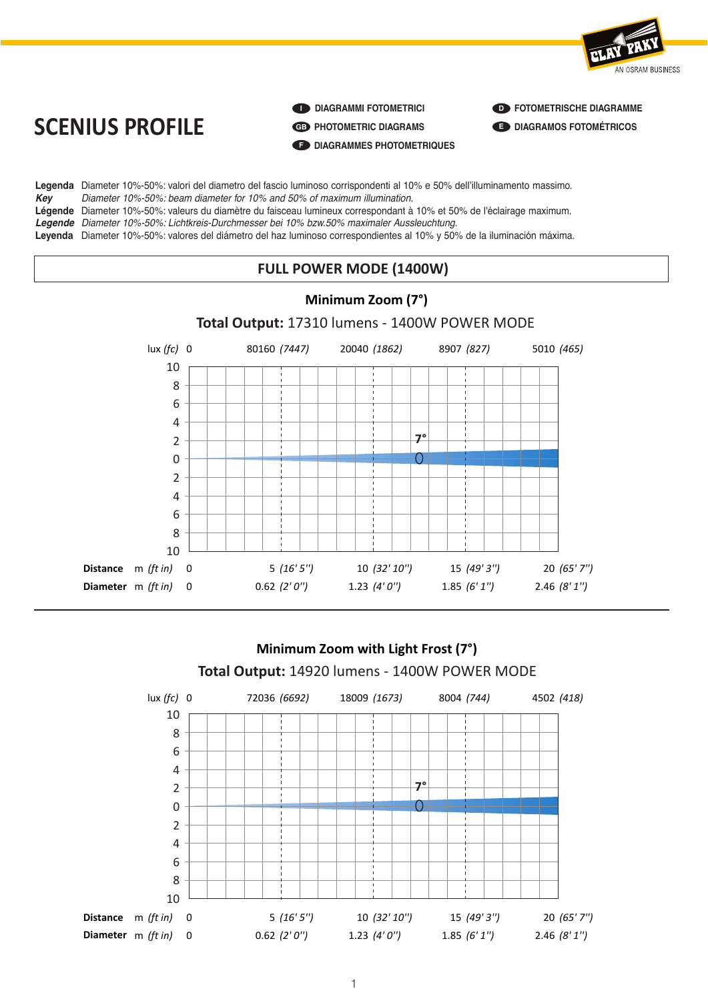



lux *(fc)*

**I DIAGRAMMI FOTOMETRICI** 

**GB PHOTOMETRIC DIAGRAMS**

**F DIAGRAMMES PHOTOMETRIQUES**

**D FOTOMETRISCHE DIAGRAMME E DIAGRAMOS FOTOMÉTRICOS**

**Legenda** Diameter 10%-50%: valori del diametro del fascio luminoso corrispondenti al 10% e 50% dell'illuminamento massimo. *Key Diameter 10%-50%: beam diameter for 10% and 50% of maximum illumination.* Légende Diameter 10%-50%: Beam diamèter for 19% and 89% et maximalm manimialent.<br>Légende Diameter 10%-50%: valeurs du diamètre du faisceau lumineux correspondant à 10% et 50% de l'éclairage maximum.

*Legende Diameter 10%-50%: Lichtkreis-Durchmesser bei 10% bzw.50% maximaler Aussleuchtung.*

**Leyenda** Diameter 10%-50%: valores del diámetro del haz luminoso correspondientes al 10% y 50% de la iluminación máxima.

#### **SCHILL DOMED MODE /4 400M)** 0 80160 *(7447)* 20040 *(1862)* 8907 *(827)* 5010 *(465)* **FULL POWER MODE (1400W)**



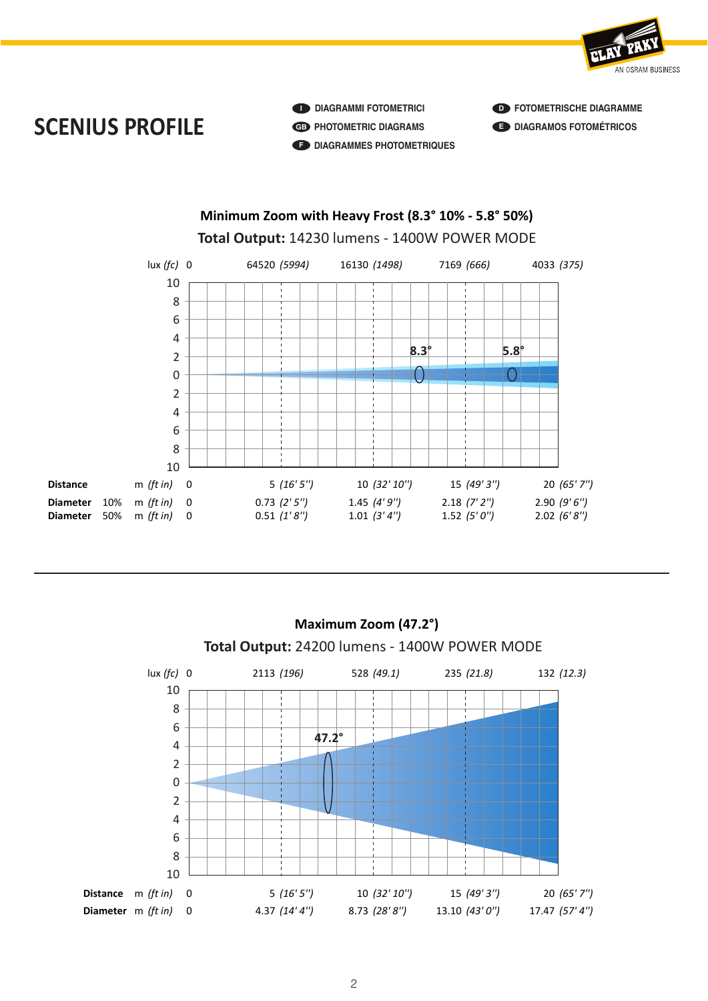

**I DIAGRAMMI FOTOMETRICI GB PHOTOMETRIC DIAGRAMS F DIAGRAMMES PHOTOMETRIQUES** 

**D FOTOMETRISCHE DIAGRAMME E DIAGRAMOS FOTOMÉTRICOS**





**Schematics** 

 $\overline{\phantom{a}}$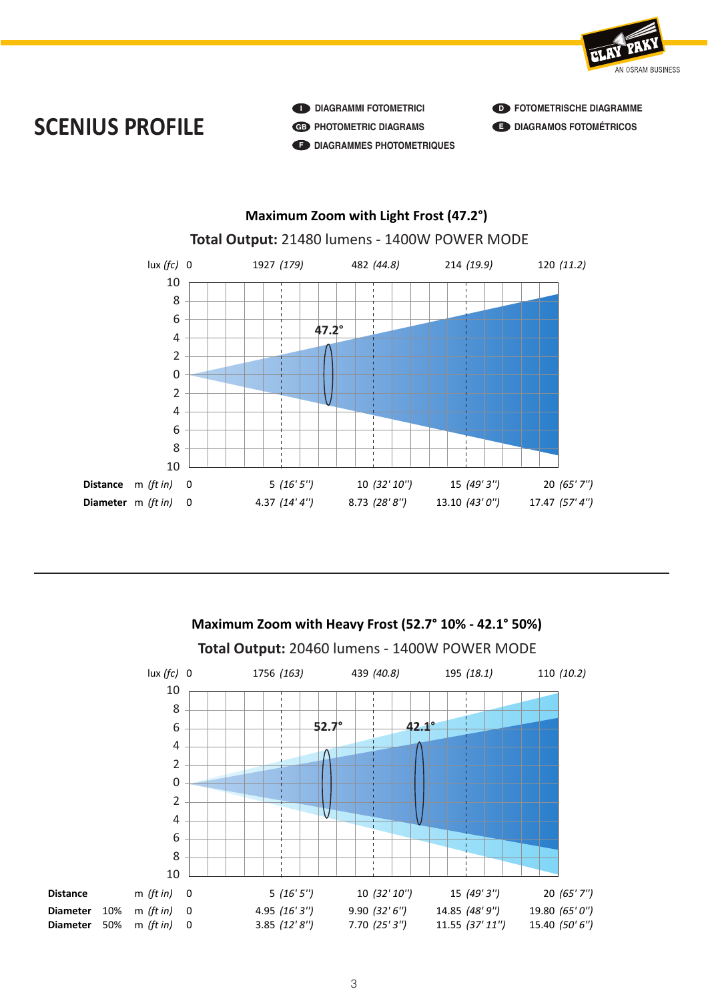

**I DIAGRAMMI FOTOMETRICI GB PHOTOMETRIC DIAGRAMS F DIAGRAMMES PHOTOMETRIQUES**  **D FOTOMETRISCHE DIAGRAMME E DIAGRAMOS FOTOMÉTRICOS**



**Schematics** 

0 1756 *(163)* 439 *(40.8)* 195 *(18.1)* 110 *(10.2)* **Total Output:** 20460 lumens - 1400W POWER MODE **Maximum Zoom with Heavy Frost (52.7° 10% - 42.1° 50%)** lux *(fc)* 8 0 1756 *(163)* 439 *(40.8)* 195 *(18.1)* 110 *(10.2)* **Distance** m *(ft in)* 0 5 *(16' 5'')* 10 *(32' 10'')* 15 *(49' 3'')* 20 *(65' 7'')* **Diameter** 10% m (ft in) 0 4.95 (16' 3") 9.90 (32' 6") 14.85 (48' 9") 19.80 (65' 0") lux *(fc)* 10 6 4 2 0 2 4 6 8 10 0 70800 *(6577)* 17700 *(1644)* 7867 *(731)* 4425 *(411)*  $\downarrow$ **52.7° 42.1°**

**Diameter** 50% m *(ft in)* 0 3.85 *(12' 8'')* 7.70 *(25' 3'')* 11.55 *(37' 11'')* 15.40 *(50' 6'')* 

**Diameter** 50% m *(ft in)* 0 3.85 *(12' 8")* 7.70 *(25' 3")* 11.55 *(37' 11")* 15.40 *(50' 6")* 

**er** 50% m *(ft in)* 0 3.85 *(12' 8'')* 7.70 *(25' 3'')* 11.55 *(37' 11'')* 15.40 *(50' 6'')*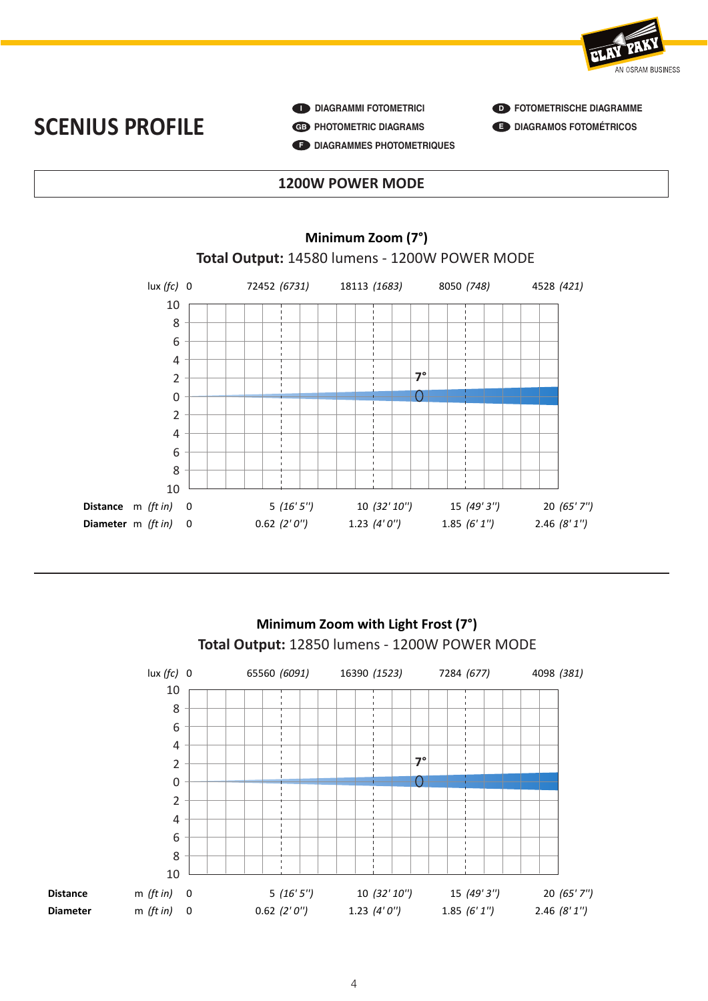

*Key Diameter 10%-50%: beam diameter for 10% and 50% of maximum illumination.*

 $\bullet$  **DIAGRAMMI FOTOMETRICI GB PHOTOMETRIC DIAGRAMS F DIAGRAMMES PHOTOMETRIQUES**  **D FOTOMETRISCHE DIAGRAMME E DIAGRAMOS FOTOMÉTRICOS**

### **LEGENDA DIAMETRO DEL 1200W POWER MODE SCENIVE SCREED ASSESSED**

**Example 2018** Minimum Zoom (7°)



**Schematics** 

### **Total Output:** 14580 lumens - 1200W POWER MODE

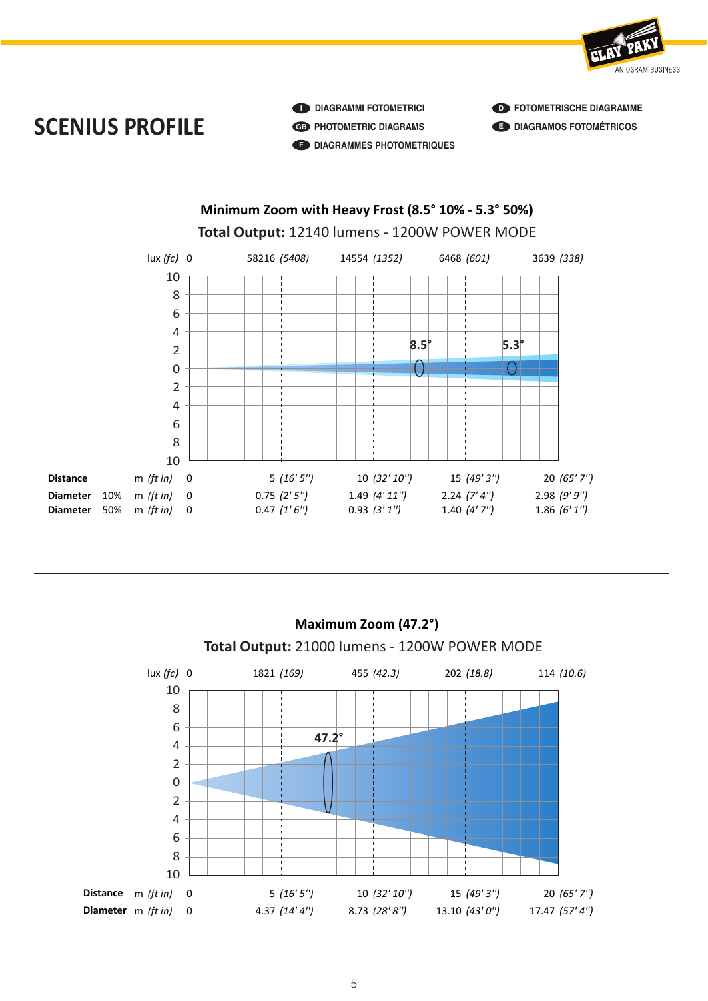

*Key Diameter 10%-50%: beam diameter for 10% and 50% of maximum illumination.*

**I DIAGRAMMI FOTOMETRICI GB PHOTOMETRIC DIAGRAMS F DIAGRAMMES PHOTOMETRIQUES**  **D FOTOMETRISCHE DIAGRAMME E DIAGRAMOS FOTOMÉTRICOS**





**Schematics** 

**School Control**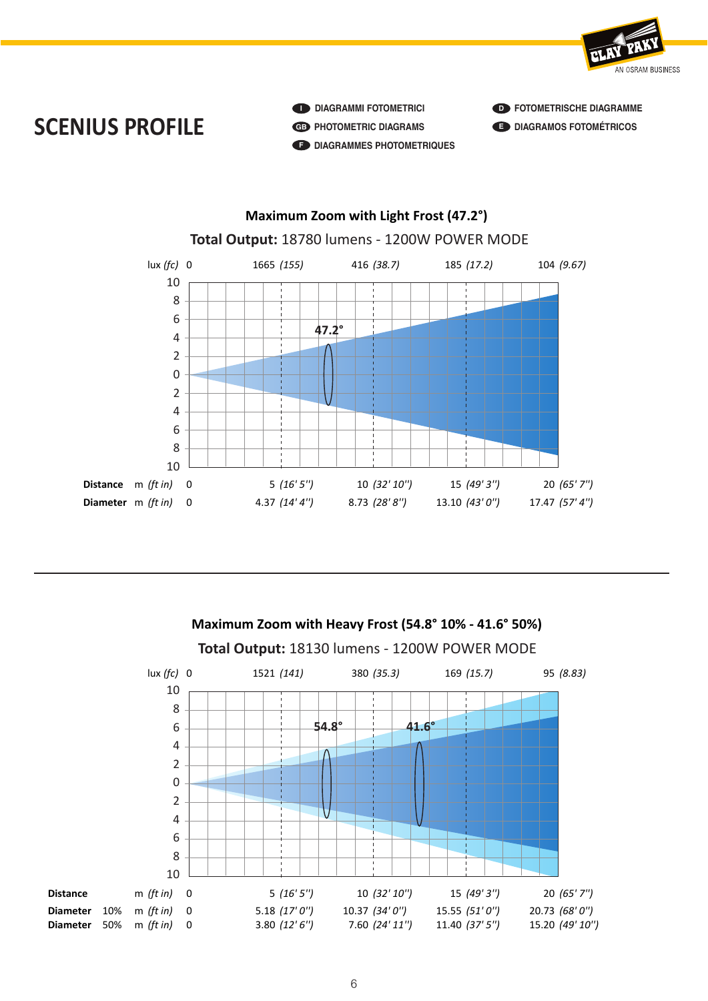

**I DIAGRAMMI FOTOMETRICI GB PHOTOMETRIC DIAGRAMS F DIAGRAMMES PHOTOMETRIQUES**  **D FOTOMETRISCHE DIAGRAMME E DIAGRAMOS FOTOMÉTRICOS**



**Schematics** 

0 1521 *(141)* 380 *(35.3)* 169 *(15.7)* 95 *(8.83)* **Total Output:** 18130 lumens - 1200W POWER MODE **Maximum Zoom with Heavy Frost (54.8° 10% - 41.6° 50%)** lux *(fc)* 8 0 1521 *(141)* 380 *(35.3)* 169 *(15.7)* 95 *(8.83)* **Distance** m *(ft in)* 0 5 *(16' 5'')* 10 *(32' 10'')* 15 *(49' 3'')* 20 *(65' 7'')* **Diameter** 10% m *(ft in)* 0 5.18 *(17'* 0'') 10.37 *(34'* 0") 15.55 *(51'* 0") 20.73 *(68'* 0") lux *(fc)* 10 6 4 2 0 2 4 6 8 10 0 1521 *(141)* 380 *(35.3)* 169 *(15.7)* 95 *(8.83)*  $\downarrow$ **54.8° 41.6°**

**Diameter** 50% m *(ft in)* 0 3.80 *(12' 6'')* 7.60 *(24' 11'')* 11.40 *(37' 5'')* 15.20 *(49' 10'* 

**Diameter** 50% m *(ft in)* 0 3.80 *(12' 6'')* 7.60 *(24' 11'')* 11.40 *(37' 5'')* 15.20 *(49' 10'')* 

**er** 50% m *(ft in)* 0 3.80 *(12' 6'')* 7.60 *(24' 11'')* 11.40 *(37' 5'')* 15.20 *(49' 10'')*